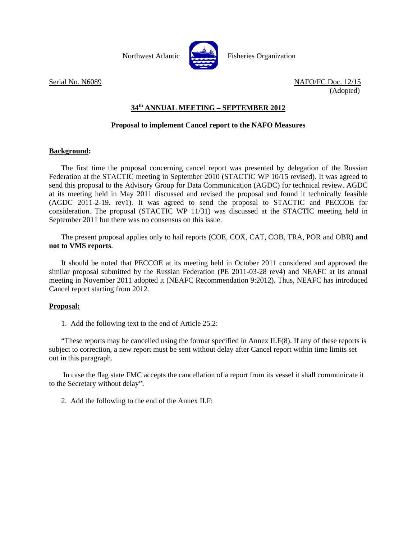

Northwest Atlantic **Northus** Fisheries Organization

Serial No. N6089 NAFO/FC Doc. 12/15 (Adopted)

# **34th ANNUAL MEETING – SEPTEMBER 2012**

### **Proposal to implement Cancel report to the NAFO Measures**

#### **Background:**

 The first time the proposal concerning cancel report was presented by delegation of the Russian Federation at the STACTIC meeting in September 2010 (STACTIC WP 10/15 revised). It was agreed to send this proposal to the Advisory Group for Data Communication (AGDC) for technical review. AGDC at its meeting held in May 2011 discussed and revised the proposal and found it technically feasible (AGDC 2011-2-19. rev1). It was agreed to send the proposal to STACTIC and PECCOE for consideration. The proposal (STACTIC WP 11/31) was discussed at the STACTIC meeting held in September 2011 but there was no consensus on this issue.

 The present proposal applies only to hail reports (COE, COX, CAT, COB, TRA, POR and OBR) **and not to VMS reports**.

 It should be noted that PECCOE at its meeting held in October 2011 considered and approved the similar proposal submitted by the Russian Federation (PE 2011-03-28 rev4) and NEAFC at its annual meeting in November 2011 adopted it (NEAFC Recommendation 9:2012). Thus, NEAFC has introduced Cancel report starting from 2012.

#### **Proposal:**

1. Add the following text to the end of Article 25.2:

 "These reports may be cancelled using the format specified in Annex II.F(8). If any of these reports is subject to correction, a new report must be sent without delay after Cancel report within time limits set out in this paragraph.

 In case the flag state FMC accepts the cancellation of a report from its vessel it shall communicate it to the Secretary without delay".

2. Add the following to the end of the Annex II.F: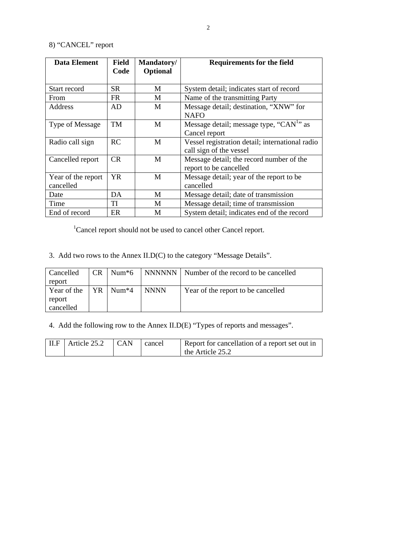# 8) "CANCEL" report

| <b>Data Element</b> | <b>Field</b><br>Code | Mandatory/<br>Optional | <b>Requirements for the field</b>                    |
|---------------------|----------------------|------------------------|------------------------------------------------------|
|                     |                      |                        |                                                      |
| Start record        | SR.                  | M                      | System detail; indicates start of record             |
| From                | FR.                  | M                      | Name of the transmitting Party                       |
| Address             | AD                   | M                      | Message detail; destination, "XNW" for               |
|                     |                      |                        | <b>NAFO</b>                                          |
| Type of Message     | <b>TM</b>            | M                      | Message detail; message type, "CAN <sup>1</sup> " as |
|                     |                      |                        | Cancel report                                        |
| Radio call sign     | RC                   | M                      | Vessel registration detail; international radio      |
|                     |                      |                        | call sign of the vessel                              |
| Cancelled report    | <b>CR</b>            | M                      | Message detail; the record number of the             |
|                     |                      |                        | report to be cancelled                               |
| Year of the report  | YR.                  | M                      | Message detail; year of the report to be             |
| cancelled           |                      |                        | cancelled                                            |
| Date                | DA                   | M                      | Message detail; date of transmission                 |
| Time                | TI                   | M                      | Message detail; time of transmission                 |
| End of record       | ER                   | M                      | System detail; indicates end of the record           |

<sup>1</sup>Cancel report should not be used to cancel other Cancel report.

3. Add two rows to the Annex II.D(C) to the category "Message Details".

| Cancelled   | CR - | Num $*6$                 |             | NNNNNN   Number of the record to be cancelled |
|-------------|------|--------------------------|-------------|-----------------------------------------------|
| report      |      |                          |             |                                               |
| Year of the |      | $YR$   Num <sup>*4</sup> | <b>NNNN</b> | Year of the report to be cancelled            |
| report      |      |                          |             |                                               |
| cancelled   |      |                          |             |                                               |

4. Add the following row to the Annex II.D(E) "Types of reports and messages".

| $\vert$ II.F $\vert$ Article 25.2 | CAN | cancel | Report for cancellation of a report set out in |
|-----------------------------------|-----|--------|------------------------------------------------|
|                                   |     |        | the Article 25.2                               |